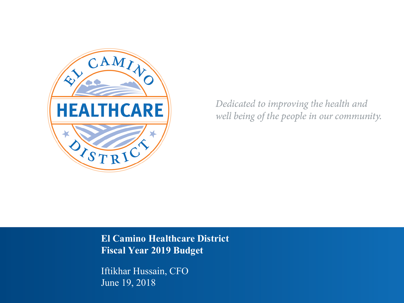

Dedicated to improving the health and well being of the people in our community.

**El Camino Healthcare District Fiscal Year 2019 Budget**

Iftikhar Hussain, CFO June 19, 2018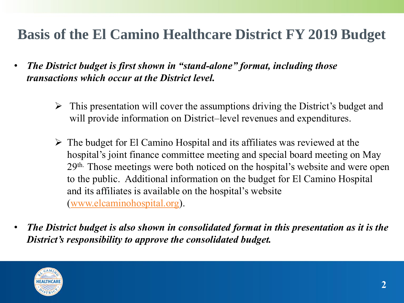## **Basis of the El Camino Healthcare District FY 2019 Budget**

- *The District budget is first shown in "stand-alone" format, including those transactions which occur at the District level.*
	- This presentation will cover the assumptions driving the District's budget and will provide information on District–level revenues and expenditures.
	- $\triangleright$  The budget for El Camino Hospital and its affiliates was reviewed at the hospital's joint finance committee meeting and special board meeting on May 29th. Those meetings were both noticed on the hospital's website and were open to the public. Additional information on the budget for El Camino Hospital and its affiliates is available on the hospital's website ([www.elcaminohospital.org](http://www.elcaminohospital.org/)).
- *The District budget is also shown in consolidated format in this presentation as it is the District's responsibility to approve the consolidated budget.*

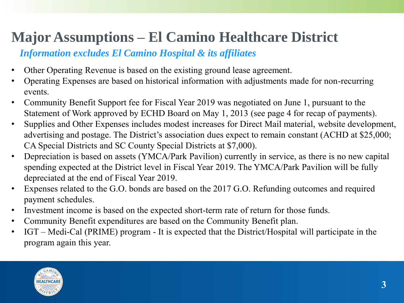# **Major Assumptions – El Camino Healthcare District**

#### *Information excludes El Camino Hospital & its affiliates*

- Other Operating Revenue is based on the existing ground lease agreement.
- Operating Expenses are based on historical information with adjustments made for non-recurring events.
- Community Benefit Support fee for Fiscal Year 2019 was negotiated on June 1, pursuant to the Statement of Work approved by ECHD Board on May 1, 2013 (see page 4 for recap of payments).
- Supplies and Other Expenses includes modest increases for Direct Mail material, website development, advertising and postage. The District's association dues expect to remain constant (ACHD at \$25,000; CA Special Districts and SC County Special Districts at \$7,000).
- Depreciation is based on assets (YMCA/Park Pavilion) currently in service, as there is no new capital spending expected at the District level in Fiscal Year 2019. The YMCA/Park Pavilion will be fully depreciated at the end of Fiscal Year 2019.
- Expenses related to the G.O. bonds are based on the 2017 G.O. Refunding outcomes and required payment schedules.
- Investment income is based on the expected short-term rate of return for those funds.
- Community Benefit expenditures are based on the Community Benefit plan.
- IGT Medi-Cal (PRIME) program It is expected that the District/Hospital will participate in the program again this year.

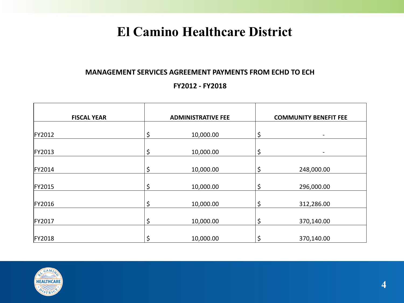## **El Camino Healthcare District**

#### **MANAGEMENT SERVICES AGREEMENT PAYMENTS FROM ECHD TO ECH**

#### **FY2012 - FY2018**

| <b>FISCAL YEAR</b> | <b>ADMINISTRATIVE FEE</b> | <b>COMMUNITY BENEFIT FEE</b> |
|--------------------|---------------------------|------------------------------|
|                    |                           |                              |
| <b>FY2012</b>      | \$<br>10,000.00           | \$                           |
| <b>FY2013</b>      | \$<br>10,000.00           | \$                           |
| <b>FY2014</b>      | \$<br>10,000.00           | \$<br>248,000.00             |
| <b>FY2015</b>      | \$<br>10,000.00           | \$<br>296,000.00             |
| <b>FY2016</b>      | \$<br>10,000.00           | \$<br>312,286.00             |
| <b>FY2017</b>      | \$<br>10,000.00           | \$<br>370,140.00             |
| <b>FY2018</b>      | \$<br>10,000.00           | \$<br>370,140.00             |

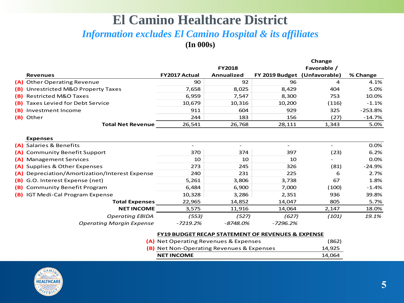#### **El Camino Healthcare District**  *Information excludes El Camino Hospital & its affiliates*  **(In 000s)**

|     |                                                |                      |               |                              | Change      |           |
|-----|------------------------------------------------|----------------------|---------------|------------------------------|-------------|-----------|
|     |                                                |                      | <b>FY2018</b> |                              | Favorable / |           |
|     | <b>Revenues</b>                                | <b>FY2017 Actual</b> | Annualized    | FY 2019 Budget (Unfavorable) |             | % Change  |
|     | (A) Other Operating Revenue                    | 90                   | 92            | 96                           | 4           | 4.1%      |
|     | (B) Unrestricted M&O Property Taxes            | 7,658                | 8,025         | 8,429                        | 404         | 5.0%      |
|     | (B) Restricted M&O Taxes                       | 6,959                | 7,547         | 8,300                        | 753         | 10.0%     |
| (B) | Taxes Levied for Debt Service                  | 10,679               | 10,316        | 10,200                       | (116)       | $-1.1%$   |
|     | (B) Investment Income                          | 911                  | 604           | 929                          | 325         | $-253.8%$ |
|     | (B) Other                                      | 244                  | 183           | 156                          | (27)        | $-14.7%$  |
|     | <b>Total Net Revenue</b>                       | 26,541               | 26,768        | 28,111                       | 1,343       | 5.0%      |
|     | <b>Expenses</b>                                |                      |               |                              |             |           |
|     | (A) Salaries & Benefits                        |                      |               |                              |             | 0.0%      |
|     | (A) Community Benefit Support                  | 370                  | 374           | 397                          | (23)        | 6.2%      |
|     | (A) Management Services                        | 10                   | 10            | 10                           |             | 0.0%      |
|     | (A) Supplies & Other Expenses                  | 273                  | 245           | 326                          | (81)        | $-24.9%$  |
|     | (A) Depreciation/Amortization/Interest Expense | 240                  | 231           | 225                          | 6           | 2.7%      |
|     | (B) G.O. Interest Expense (net)                | 5,261                | 3,806         | 3,738                        | 67          | 1.8%      |
|     | (B) Community Benefit Program                  | 6,484                | 6,900         | 7,000                        | (100)       | $-1.4%$   |
|     | (B) IGT Medi-Cal Program Expense               | 10,328               | 3,286         | 2,351                        | 936         | 39.8%     |
|     | <b>Total Expenses</b>                          | 22,965               | 14,852        | 14,047                       | 805         | 5.7%      |
|     | <b>NET INCOME</b>                              | 3,575                | 11,916        | 14,064                       | 2,147       | 18.0%     |
|     | <b>Operating EBIDA</b>                         | (553)                | (527)         | (627)                        | (101)       | 19.1%     |
|     | <b>Operating Margin Expense</b>                | $-7219.2%$           | $-8748.0%$    | $-7296.2%$                   |             |           |

| <b>FY19 BUDGET RECAP STATEMENT OF REVENUES &amp; EXPENSE</b> |                                                  |        |  |  |
|--------------------------------------------------------------|--------------------------------------------------|--------|--|--|
|                                                              | (A) Net Operating Revenues & Expenses            | (862)  |  |  |
|                                                              | <b>(B)</b> Net Non-Operating Revenues & Expenses | 14,925 |  |  |
|                                                              | <b>NET INCOME</b>                                | 14.064 |  |  |

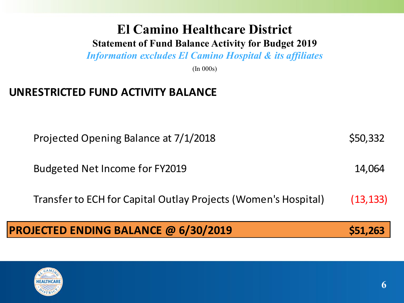# **El Camino Healthcare District**

#### **Statement of Fund Balance Activity for Budget 2019**

*Information excludes El Camino Hospital & its affiliates*

(In 000s)

## **UNRESTRICTED FUND ACTIVITY BALANCE**

Projected Opening Balance at 7/1/2018 \$50,332

Budgeted Net Income for FY2019 14,064

Transfer to ECH for Capital Outlay Projects (Women's Hospital) (13,133)

## **PROJECTED ENDING BALANCE @ 6/30/2019 \$51,263**

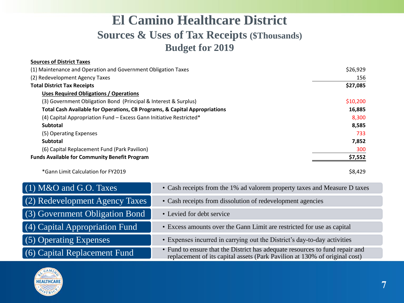## **El Camino Healthcare District Sources & Uses of Tax Receipts (\$Thousands) Budget for 2019**

| <b>Sources of District Taxes</b>                                           |          |
|----------------------------------------------------------------------------|----------|
| (1) Maintenance and Operation and Government Obligation Taxes              | \$26,929 |
| (2) Redevelopment Agency Taxes                                             | 156      |
| <b>Total District Tax Receipts</b>                                         | \$27,085 |
| <b>Uses Required Obligations / Operations</b>                              |          |
| (3) Government Obligation Bond (Principal & Interest & Surplus)            | \$10,200 |
| Total Cash Available for Operations, CB Programs, & Capital Appropriations | 16,885   |
| (4) Capital Appropriation Fund - Excess Gann Initiative Restricted*        | 8,300    |
| Subtotal                                                                   | 8,585    |
| (5) Operating Expenses                                                     | 733      |
| <b>Subtotal</b>                                                            | 7,852    |
| (6) Capital Replacement Fund (Park Pavilion)                               | 300      |
| <b>Funds Available for Community Benefit Program</b>                       | \$7,552  |
| *Gann Limit Calculation for FY2019                                         | \$8,429  |

| $(1)$ M&O and G.O. Taxes       | • Cash receipts from the 1% ad valorem property taxes and Measure D taxes                                                                                  |
|--------------------------------|------------------------------------------------------------------------------------------------------------------------------------------------------------|
| (2) Redevelopment Agency Taxes | • Cash receipts from dissolution of redevelopment agencies                                                                                                 |
| (3) Government Obligation Bond | • Levied for debt service                                                                                                                                  |
| (4) Capital Appropriation Fund | • Excess amounts over the Gann Limit are restricted for use as capital                                                                                     |
| (5) Operating Expenses         | • Expenses incurred in carrying out the District's day-to-day activities                                                                                   |
| (6) Capital Replacement Fund   | • Fund to ensure that the District has adequate resources to fund repair and<br>replacement of its capital assets (Park Pavilion at 130% of original cost) |

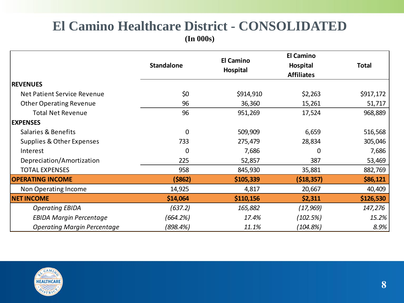# **El Camino Healthcare District - CONSOLIDATED**

**(In 000s)**

|                                    | <b>Standalone</b> | <b>El Camino</b><br>Hospital | <b>El Camino</b><br>Hospital<br><b>Affiliates</b> | <b>Total</b> |
|------------------------------------|-------------------|------------------------------|---------------------------------------------------|--------------|
| <b>REVENUES</b>                    |                   |                              |                                                   |              |
| Net Patient Service Revenue        | \$0               | \$914,910                    | \$2,263                                           | \$917,172    |
| <b>Other Operating Revenue</b>     | 96                | 36,360                       | 15,261                                            | 51,717       |
| <b>Total Net Revenue</b>           | 96                | 951,269                      | 17,524                                            | 968,889      |
| <b>EXPENSES</b>                    |                   |                              |                                                   |              |
| Salaries & Benefits                | $\mathbf 0$       | 509,909                      | 6,659                                             | 516,568      |
| Supplies & Other Expenses          | 733               | 275,479                      | 28,834                                            | 305,046      |
| Interest                           | 0                 | 7,686                        | 0                                                 | 7,686        |
| Depreciation/Amortization          | 225               | 52,857                       | 387                                               | 53,469       |
| <b>TOTAL EXPENSES</b>              | 958               | 845,930                      | 35,881                                            | 882,769      |
| <b>OPERATING INCOME</b>            | (\$862)           | \$105,339                    | ( \$18, 357)                                      | \$86,121     |
| Non Operating Income               | 14,925            | 4,817                        | 20,667                                            | 40,409       |
| <b>NET INCOME</b>                  | \$14,064          | \$110,156                    | \$2,311                                           | \$126,530    |
| <b>Operating EBIDA</b>             | (637.2)           | 165,882                      | (17, 969)                                         | 147,276      |
| <b>EBIDA Margin Percentage</b>     | (664.2%)          | 17.4%                        | (102.5%)                                          | 15.2%        |
| <b>Operating Margin Percentage</b> | (898.4%)          | 11.1%                        | (104.8%)                                          | 8.9%         |

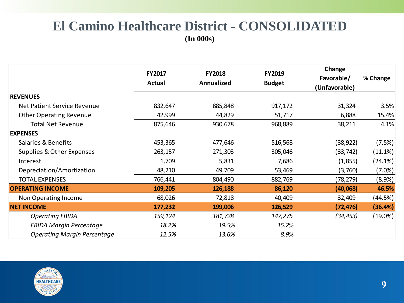### **El Camino Healthcare District - CONSOLIDATED (In 000s)**

|                                    | <b>FY2017</b><br><b>Actual</b> | <b>FY2018</b><br>Annualized | FY2019<br><b>Budget</b> | Change<br>Favorable/<br>(Unfavorable) | % Change   |
|------------------------------------|--------------------------------|-----------------------------|-------------------------|---------------------------------------|------------|
| <b>REVENUES</b>                    |                                |                             |                         |                                       |            |
| Net Patient Service Revenue        | 832,647                        | 885,848                     | 917,172                 | 31,324                                | 3.5%       |
| <b>Other Operating Revenue</b>     | 42,999                         | 44,829                      | 51,717                  | 6,888                                 | 15.4%      |
| <b>Total Net Revenue</b>           | 875,646                        | 930,678                     | 968,889                 | 38,211                                | 4.1%       |
| <b>EXPENSES</b>                    |                                |                             |                         |                                       |            |
| Salaries & Benefits                | 453,365                        | 477,646                     | 516,568                 | (38, 922)                             | (7.5%)     |
| Supplies & Other Expenses          | 263,157                        | 271,303                     | 305,046                 | (33, 742)                             | (11.1%)    |
| Interest                           | 1,709                          | 5,831                       | 7,686                   | (1,855)                               | (24.1%)    |
| Depreciation/Amortization          | 48,210                         | 49,709                      | 53,469                  | (3,760)                               | (7.0%)     |
| <b>TOTAL EXPENSES</b>              | 766,441                        | 804,490                     | 882,769                 | (78, 279)                             | (8.9%)     |
| <b>OPERATING INCOME</b>            | 109,205                        | 126,188                     | 86,120                  | (40,068)                              | 46.5%      |
| Non Operating Income               | 68,026                         | 72,818                      | 40,409                  | 32,409                                | (44.5%)    |
| <b>NET INCOME</b>                  | 177,232                        | 199,006                     | 126,529                 | (72, 476)                             | (36.4%)    |
| <b>Operating EBIDA</b>             | 159,124                        | 181,728                     | 147,275                 | (34, 453)                             | $(19.0\%)$ |
| <b>EBIDA Margin Percentage</b>     | 18.2%                          | 19.5%                       | 15.2%                   |                                       |            |
| <b>Operating Margin Percentage</b> | 12.5%                          | 13.6%                       | 8.9%                    |                                       |            |

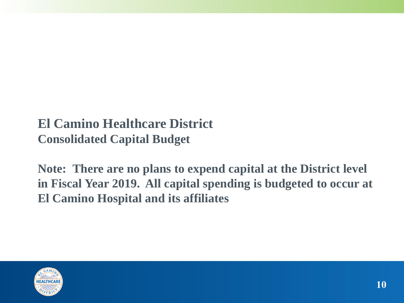## **El Camino Healthcare District Consolidated Capital Budget**

**Note: There are no plans to expend capital at the District level in Fiscal Year 2019. All capital spending is budgeted to occur at El Camino Hospital and its affiliates**

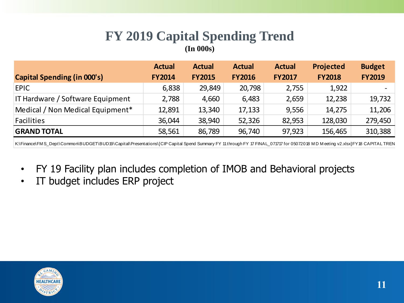### **FY 2019 Capital Spending Trend (In 000s)**

|                                    | <b>Actual</b> | <b>Actual</b> | <b>Actual</b> | <b>Actual</b> | <b>Projected</b> | <b>Budget</b>            |
|------------------------------------|---------------|---------------|---------------|---------------|------------------|--------------------------|
| <b>Capital Spending (in 000's)</b> | <b>FY2014</b> | <b>FY2015</b> | <b>FY2016</b> | <b>FY2017</b> | <b>FY2018</b>    | <b>FY2019</b>            |
| <b>EPIC</b>                        | 6,838         | 29,849        | 20,798        | 2,755         | 1,922            | $\overline{\phantom{0}}$ |
| IT Hardware / Software Equipment   | 2,788         | 4,660         | 6,483         | 2,659         | 12,238           | 19,732                   |
| Medical / Non Medical Equipment*   | 12,891        | 13,340        | 17,133        | 9,556         | 14,275           | 11,206                   |
| Facilities                         | 36,044        | 38,940        | 52,326        | 82,953        | 128,030          | 279,450                  |
| <b>GRAND TOTAL</b>                 | 58,561        | 86,789        | 96,740        | 97,923        | 156,465          | 310,388                  |

K:\Finance\FM S\_Dept\Common\BUDGET\BUD19\Capital\Presentations\[CIP Capital Spend Summary FY 11 through FY 17 FINAL\_071717 for 05072018 MD M eeting v2.xlsx]FY18 CAPITAL TREN

- FY 19 Facility plan includes completion of IMOB and Behavioral projects
- IT budget includes ERP project

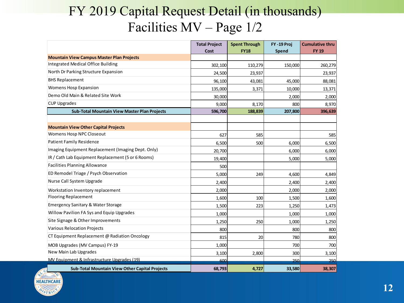## FY 2019 Capital Request Detail (in thousands) Facilities MV – Page 1/2

|                                                       | <b>Total Project</b><br>Cost | <b>Spent Through</b><br><b>FY18</b> | FY-19 Proj<br>Spend | <b>Cumulative thru</b><br><b>FY 19</b> |
|-------------------------------------------------------|------------------------------|-------------------------------------|---------------------|----------------------------------------|
| <b>Mountain View Campus Master Plan Projects</b>      |                              |                                     |                     |                                        |
| Integrated Medical Office Building                    | 302,100                      | 110,279                             | 150,000             | 260,279                                |
| North Dr Parking Structure Expansion                  | 24,500                       | 23,937                              |                     | 23,937                                 |
| <b>BHS Replacement</b>                                | 96,100                       | 43,081                              | 45,000              | 88,081                                 |
| Womens Hosp Expansion                                 | 135,000                      | 3,371                               | 10,000              | 13,371                                 |
| Demo Old Main & Related Site Work                     | 30,000                       |                                     | 2,000               | 2,000                                  |
| <b>CUP Upgrades</b>                                   | 9,000                        | 8,170                               | 800                 | 8,970                                  |
| <b>Sub-Total Mountain View Master Plan Projects</b>   | 596,700                      | 188,839                             | 207,800             | 396,639                                |
|                                                       |                              |                                     |                     |                                        |
| <b>Mountain View Other Capital Projects</b>           |                              |                                     |                     |                                        |
| Womens Hosp NPC Closeout                              | 627                          | 585                                 |                     | 585                                    |
| <b>Patient Family Residence</b>                       | 6,500                        | 500                                 | 6,000               | 6,500                                  |
| Imaging Equipment Replacement (Imaging Dept. Only)    | 20,700                       |                                     | 6,000               | 6,000                                  |
| IR / Cath Lab Equipment Replacement (5 or 6 Rooms)    | 19,400                       |                                     | 5,000               | 5,000                                  |
| <b>Facilities Planning Allowance</b>                  | 500                          |                                     |                     |                                        |
| ED Remodel Triage / Psych Observation                 | 5,000                        | 249                                 | 4,600               | 4,849                                  |
| Nurse Call System Upgrade                             | 2,400                        |                                     | 2,400               | 2,400                                  |
| Workstation Inventory replacement                     | 2,000                        |                                     | 2,000               | 2,000                                  |
| <b>Flooring Replacement</b>                           | 1,600                        | 100                                 | 1,500               | 1,600                                  |
| <b>Emergency Sanitary &amp; Water Storage</b>         | 1,500                        | 223                                 | 1,250               | 1,473                                  |
| Willow Pavilion FA Sys and Equip Upgrades             | 1,000                        |                                     | 1,000               | 1,000                                  |
| Site Signage & Other Improvements                     | 1,250                        | 250                                 | 1,000               | 1,250                                  |
| <b>Various Relocation Projects</b>                    | 800                          |                                     | 800                 | 800                                    |
| CT Equipment Replacement @ Radiation Oncology         | 815                          | 20                                  | 780                 | 800                                    |
| MOB Upgrades (MV Campus) FY-19                        | 1,000                        |                                     | 700                 | 700                                    |
| New Main Lab Upgrades                                 | 3,100                        | 2,800                               | 300                 | 3,100                                  |
| MV Equipment & Infrastructure Upgrades (19)           | 600                          |                                     | 250                 | 250                                    |
| <b>Sub-Total Mountain View Other Capital Projects</b> | 68,793                       | 4,727                               | 33,580              | 38,307                                 |